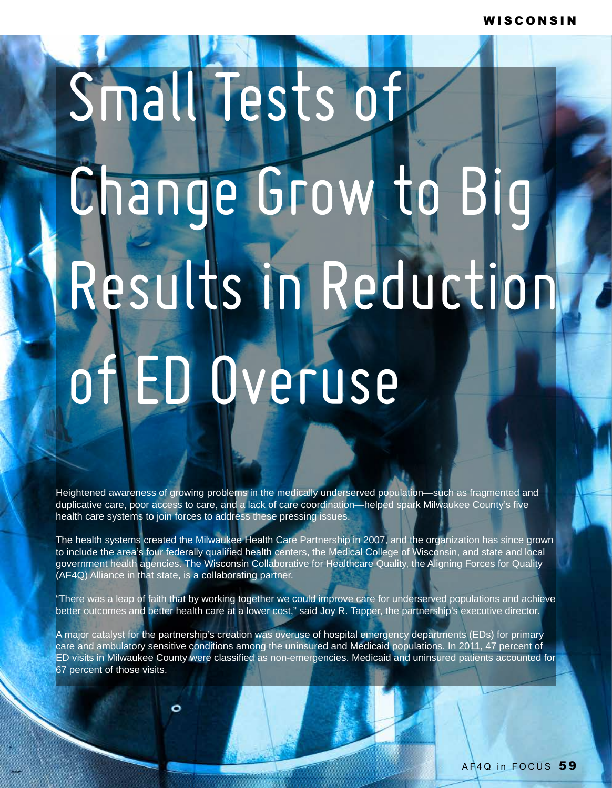## Small Tests of Change Grow to Big Results in Reduction of ED Overuse

Heightened awareness of growing problems in the medically underserved population—such as fragmented and duplicative care, poor access to care, and a lack of care coordination—helped spark Milwaukee County's five health care systems to join forces to address these pressing issues.

The health systems created the Milwaukee Health Care Partnership in 2007, and the organization has since grown to include the area's four federally qualified health centers, the Medical College of Wisconsin, and state and local government health agencies. The Wisconsin Collaborative for Healthcare Quality, the Aligning Forces for Quality (AF4Q) Alliance in that state, is a collaborating partner.

"There was a leap of faith that by working together we could improve care for underserved populations and achieve better outcomes and better health care at a lower cost," said Joy R. Tapper, the partnership's executive director.

A major catalyst for the partnership's creation was overuse of hospital emergency departments (EDs) for primary care and ambulatory sensitive conditions among the uninsured and Medicaid populations. In 2011, 47 percent of ED visits in Milwaukee County were classified as non-emergencies. Medicaid and uninsured patients accounted for 67 percent of those visits.

o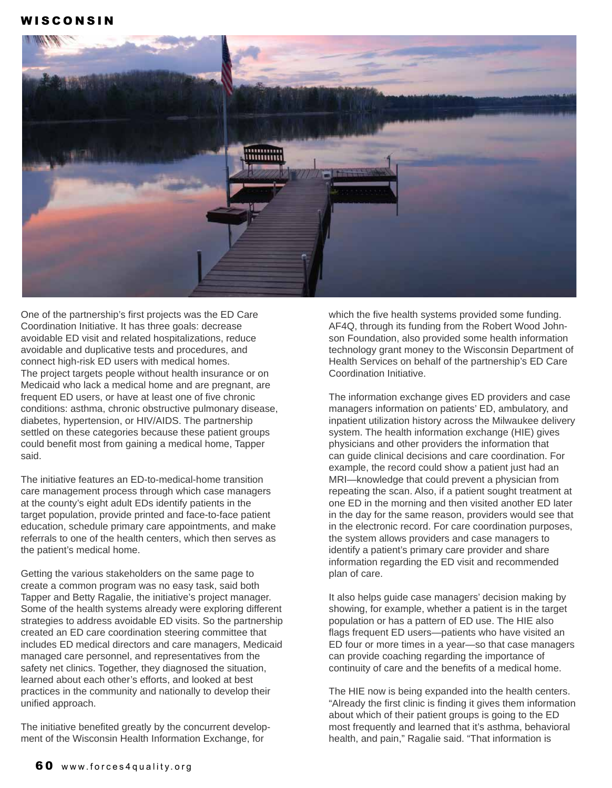## W I S C O N S I N



One of the partnership's first projects was the ED Care Coordination Initiative. It has three goals: decrease avoidable ED visit and related hospitalizations, reduce avoidable and duplicative tests and procedures, and connect high-risk ED users with medical homes. The project targets people without health insurance or on Medicaid who lack a medical home and are pregnant, are frequent ED users, or have at least one of five chronic conditions: asthma, chronic obstructive pulmonary disease, diabetes, hypertension, or HIV/AIDS. The partnership settled on these categories because these patient groups could benefit most from gaining a medical home, Tapper said.

The initiative features an ED-to-medical-home transition care management process through which case managers at the county's eight adult EDs identify patients in the target population, provide printed and face-to-face patient education, schedule primary care appointments, and make referrals to one of the health centers, which then serves as the patient's medical home.

Getting the various stakeholders on the same page to create a common program was no easy task, said both Tapper and Betty Ragalie, the initiative's project manager. Some of the health systems already were exploring different strategies to address avoidable ED visits. So the partnership created an ED care coordination steering committee that includes ED medical directors and care managers, Medicaid managed care personnel, and representatives from the safety net clinics. Together, they diagnosed the situation, learned about each other's efforts, and looked at best practices in the community and nationally to develop their unified approach.

The initiative benefited greatly by the concurrent development of the Wisconsin Health Information Exchange, for

which the five health systems provided some funding. AF4Q, through its funding from the Robert Wood Johnson Foundation, also provided some health information technology grant money to the Wisconsin Department of Health Services on behalf of the partnership's ED Care Coordination Initiative.

The information exchange gives ED providers and case managers information on patients' ED, ambulatory, and inpatient utilization history across the Milwaukee delivery system. The health information exchange (HIE) gives physicians and other providers the information that can guide clinical decisions and care coordination. For example, the record could show a patient just had an MRI—knowledge that could prevent a physician from repeating the scan. Also, if a patient sought treatment at one ED in the morning and then visited another ED later in the day for the same reason, providers would see that in the electronic record. For care coordination purposes, the system allows providers and case managers to identify a patient's primary care provider and share information regarding the ED visit and recommended plan of care.

It also helps guide case managers' decision making by showing, for example, whether a patient is in the target population or has a pattern of ED use. The HIE also flags frequent ED users—patients who have visited an ED four or more times in a year—so that case managers can provide coaching regarding the importance of continuity of care and the benefits of a medical home.

The HIE now is being expanded into the health centers. "Already the first clinic is finding it gives them information about which of their patient groups is going to the ED most frequently and learned that it's asthma, behavioral health, and pain," Ragalie said. "That information is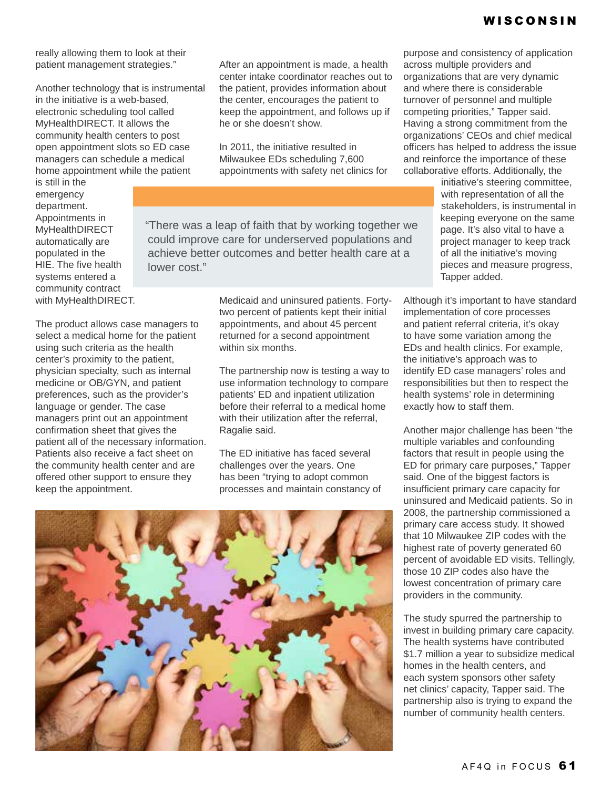really allowing them to look at their patient management strategies."

Another technology that is instrumental in the initiative is a web-based, electronic scheduling tool called MyHealthDIRECT. It allows the community health centers to post open appointment slots so ED case managers can schedule a medical home appointment while the patient

is still in the emergency department. Appointments in MyHealthDIRECT automatically are populated in the HIE. The five health systems entered a community contract with MyHealthDIRECT.

The product allows case managers to select a medical home for the patient using such criteria as the health center's proximity to the patient, physician specialty, such as internal medicine or OB/GYN, and patient preferences, such as the provider's language or gender. The case managers print out an appointment confirmation sheet that gives the patient all of the necessary information. Patients also receive a fact sheet on the community health center and are offered other support to ensure they keep the appointment.

After an appointment is made, a health center intake coordinator reaches out to the patient, provides information about the center, encourages the patient to keep the appointment, and follows up if he or she doesn't show.

In 2011, the initiative resulted in Milwaukee EDs scheduling 7,600 appointments with safety net clinics for

"There was a leap of faith that by working together we could improve care for underserved populations and achieve better outcomes and better health care at a lower cost."

> Medicaid and uninsured patients. Fortytwo percent of patients kept their initial appointments, and about 45 percent returned for a second appointment within six months.

The partnership now is testing a way to use information technology to compare patients' ED and inpatient utilization before their referral to a medical home with their utilization after the referral, Ragalie said.

The ED initiative has faced several challenges over the years. One has been "trying to adopt common processes and maintain constancy of

purpose and consistency of application across multiple providers and organizations that are very dynamic and where there is considerable turnover of personnel and multiple competing priorities," Tapper said. Having a strong commitment from the organizations' CEOs and chief medical officers has helped to address the issue and reinforce the importance of these collaborative efforts. Additionally, the

initiative's steering committee, with representation of all the stakeholders, is instrumental in keeping everyone on the same page. It's also vital to have a project manager to keep track of all the initiative's moving pieces and measure progress, Tapper added.

Although it's important to have standard implementation of core processes and patient referral criteria, it's okay to have some variation among the EDs and health clinics. For example, the initiative's approach was to identify ED case managers' roles and responsibilities but then to respect the health systems' role in determining exactly how to staff them.

Another major challenge has been "the multiple variables and confounding factors that result in people using the ED for primary care purposes," Tapper said. One of the biggest factors is insufficient primary care capacity for uninsured and Medicaid patients. So in 2008, the partnership commissioned a primary care access study. It showed that 10 Milwaukee ZIP codes with the highest rate of poverty generated 60 percent of avoidable ED visits. Tellingly, those 10 ZIP codes also have the lowest concentration of primary care providers in the community.

The study spurred the partnership to invest in building primary care capacity. The health systems have contributed \$1.7 million a year to subsidize medical homes in the health centers, and each system sponsors other safety net clinics' capacity, Tapper said. The partnership also is trying to expand the number of community health centers.